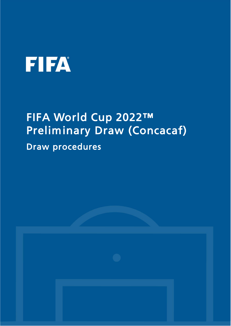# **FIFA**

## FIFA World Cup 2022™ Preliminary Draw (Concacaf)

Draw procedures

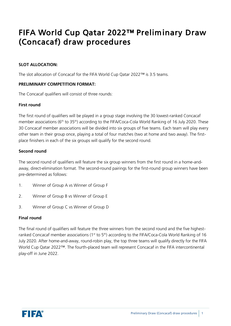### FIFA World Cup Qatar 2022™ Preliminary Draw (Concacaf) draw procedures

#### **SLOT ALLOCATION:**

The slot allocation of Concacaf for the FIFA World Cup Qatar 2022™ is 3.5 teams.

#### **PRELIMINARY COMPETITION FORMAT:**

The Concacaf qualifiers will consist of three rounds:

#### **First round**

The first round of qualifiers will be played in a group stage involving the 30 lowest-ranked Concacaf member associations (6<sup>th</sup> to 35<sup>th</sup>) according to the FIFA/Coca-Cola World Ranking of 16 July 2020. These 30 Concacaf member associations will be divided into six groups of five teams. Each team will play every other team in their group once, playing a total of four matches (two at home and two away). The firstplace finishers in each of the six groups will qualify for the second round.

#### **Second round**

The second round of qualifiers will feature the six group winners from the first round in a home-andaway, direct-elimination format. The second-round pairings for the first-round group winners have been pre-determined as follows:

- 1. Winner of Group A vs Winner of Group F
- 2. Winner of Group B vs Winner of Group E
- 3. Winner of Group C vs Winner of Group D

#### **Final round**

The final round of qualifiers will feature the three winners from the second round and the five highestranked Concacaf member associations (1<sup>st</sup> to 5<sup>th</sup>) according to the FIFA/Coca-Cola World Ranking of 16 July 2020. After home-and-away, round-robin play, the top three teams will qualify directly for the FIFA World Cup Qatar 2022™. The fourth-placed team will represent Concacaf in the FIFA intercontinental play-off in June 2022.

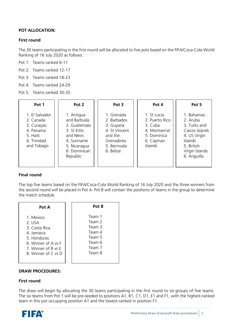#### **POT ALLOCATION:**

#### **First round**

The 30 teams participating in the first round will be allocated to five pots based on the FIFA/Coca-Cola World Ranking of 16 July 2020 as follows:

- Pot 1: Teams ranked 6-11
- Pot 2: Teams ranked 12-17
- Pot 3: Teams ranked 18-23
- Pot 4: Teams ranked 24-29
- Pot 5: Teams ranked 30-35

| Pot 1                                                                                           | Pot 2                                                                                                                            | Pot 3                                                                                                       | Pot 4                                                                                                   | Pot 5                                                                                                                                     |
|-------------------------------------------------------------------------------------------------|----------------------------------------------------------------------------------------------------------------------------------|-------------------------------------------------------------------------------------------------------------|---------------------------------------------------------------------------------------------------------|-------------------------------------------------------------------------------------------------------------------------------------------|
| 1. El Salvador<br>2. Canada<br>3. Curaçao<br>4. Panama<br>5. Haiti<br>6. Trinidad<br>and Tobago | 1. Antigua<br>and Barbuda<br>2. Guatemala<br>3. St Kitts<br>and Nevis<br>4. Suriname<br>5. Nicaragua<br>6. Dominican<br>Republic | 1. Grenada<br>2. Barbados<br>3. Guyana<br>4. St Vincent<br>and the<br>Grenadines<br>5. Bermuda<br>6. Belize | 1. St Lucia<br>2. Puerto Rico<br>3. Cuba<br>4. Montserrat<br>5. Dominica<br>6. Cayman<br><b>Islands</b> | 1. Bahamas<br>2. Aruba<br>3. Turks and<br>Caicos Islands<br>4. US Virgin<br><b>Islands</b><br>5. British<br>Virgin Islands<br>6. Anguilla |

#### **Final round**

The top five teams based on the FIFA/Coca-Cola World Ranking of 16 July 2020 and the three winners from the second round will be placed in Pot A. Pot B will contain the positions of teams in the group to determine the match schedule.

| Pot A               | Pot B  |
|---------------------|--------|
| 1. Mexico           | Team 1 |
| $2.$ USA            | Team 2 |
| 3. Costa Rica       | Team 3 |
| 4. Jamaica          | Team 4 |
| 5. Honduras         | Team 5 |
| 6. Winner of A vs F | Team 6 |
| 7. Winner of B vs E | Team 7 |
| 8. Winner of C vs D | Team 8 |

#### **DRAW PROCEDURES:**

#### **First round**

The draw will begin by allocating the 30 teams participating in the first round to six groups of five teams. The six teams from Pot 1 will be pre-seeded to positions A1, B1, C1, D1, E1 and F1, with the highest-ranked team in this pot occupying position A1 and the lowest-ranked in position F1.

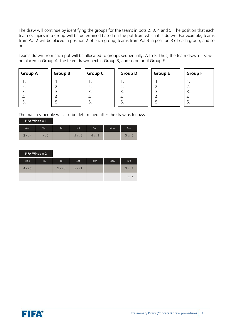The draw will continue by identifying the groups for the teams in pots 2, 3, 4 and 5. The position that each team occupies in a group will be determined based on the pot from which it is drawn. For example, teams from Pot 2 will be placed in position 2 of each group, teams from Pot 3 in position 3 of each group, and so on.

Teams drawn from each pot will be allocated to groups sequentially: A to F. Thus, the team drawn first will be placed in Group A, the team drawn next in Group B, and so on until Group F.

| <b>Group A</b> | <b>Group B</b> | <b>Group C</b> | <b>Group D</b> | <b>Group E</b> | <b>Group F</b> |
|----------------|----------------|----------------|----------------|----------------|----------------|
|                | . .            | . .            | . .            | . .            | . .            |
| <u>.</u>       | <u>.</u>       | <u>.</u>       | z.             | <u>.</u>       | $\angle$ .     |
| э.             | 3.             | э.             | 3.             | 3              | 3.             |
| 4.             | 4.             | 4.             | 4.             | 4.             | 4.             |
| J.             | כ.             | 5.             | C.             | .ر             | 5.             |
|                |                |                |                |                |                |

The match schedule will also be determined after the draw as follows:

| <b>FIFA Window 1</b> |          |                 |     |        |      |     |                   |
|----------------------|----------|-----------------|-----|--------|------|-----|-------------------|
|                      | Wed      | Thu             | Fri | Sat    | Sun  | Mon | Tue <sup>1</sup>  |
|                      | $2$ vs 4 | vs <sub>3</sub> |     | 5 vs 2 | 4 vs |     | $3 \text{ vs } 5$ |

|        | FIFA Window 2 |            |            |      |     |        |
|--------|---------------|------------|------------|------|-----|--------|
| Wed    | Thu           | Fri        | Sat        | Sun. | Mon | Tue    |
| 4 vs 5 |               | $2$ vs $3$ | $5$ vs $1$ |      |     | 3 vs 4 |
|        |               |            |            |      |     | 1 vs 2 |